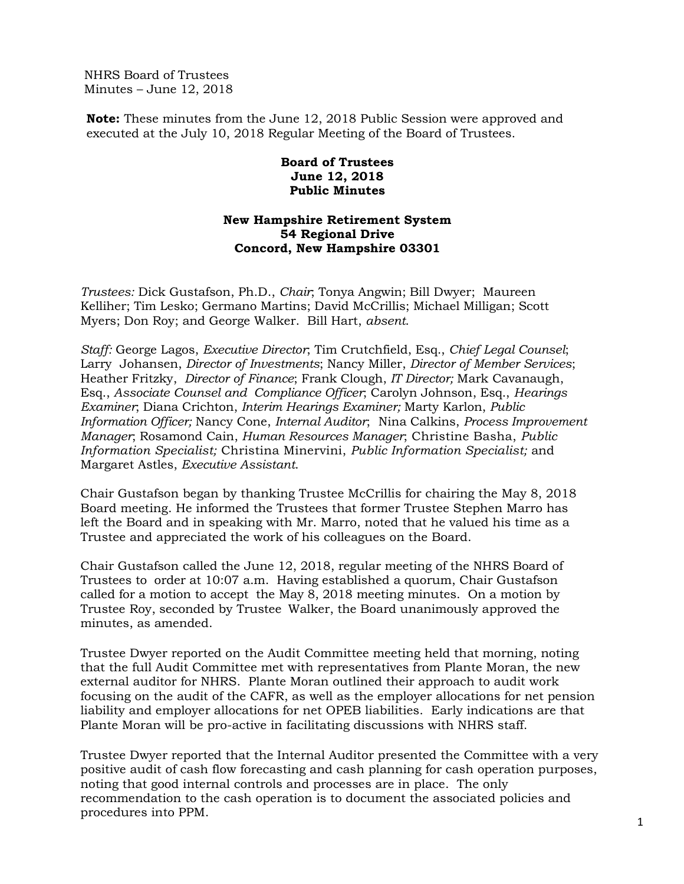NHRS Board of Trustees Minutes – June 12, 2018

**Note:** These minutes from the June 12, 2018 Public Session were approved and executed at the July 10, 2018 Regular Meeting of the Board of Trustees.

## **Board of Trustees June 12, 2018 Public Minutes**

## **New Hampshire Retirement System 54 Regional Drive Concord, New Hampshire 03301**

*Trustees:* Dick Gustafson, Ph.D., *Chair*; Tonya Angwin; Bill Dwyer; Maureen Kelliher; Tim Lesko; Germano Martins; David McCrillis; Michael Milligan; Scott Myers; Don Roy; and George Walker. Bill Hart, *absent*.

*Staff:* George Lagos, *Executive Director*; Tim Crutchfield, Esq., *Chief Legal Counsel*; Larry Johansen, *Director of Investments*; Nancy Miller, *Director of Member Services*; Heather Fritzky, *Director of Finance*; Frank Clough, *IT Director;* Mark Cavanaugh, Esq., *Associate Counsel and Compliance Officer*; Carolyn Johnson, Esq., *Hearings Examiner*; Diana Crichton, *Interim Hearings Examiner;* Marty Karlon, *Public Information Officer;* Nancy Cone, *Internal Auditor*; Nina Calkins, *Process Improvement Manager*; Rosamond Cain, *Human Resources Manager*; Christine Basha, *Public Information Specialist;* Christina Minervini, *Public Information Specialist;* and Margaret Astles, *Executive Assistant*.

Chair Gustafson began by thanking Trustee McCrillis for chairing the May 8, 2018 Board meeting. He informed the Trustees that former Trustee Stephen Marro has left the Board and in speaking with Mr. Marro, noted that he valued his time as a Trustee and appreciated the work of his colleagues on the Board.

Chair Gustafson called the June 12, 2018, regular meeting of the NHRS Board of Trustees to order at 10:07 a.m. Having established a quorum, Chair Gustafson called for a motion to accept the May 8, 2018 meeting minutes. On a motion by Trustee Roy, seconded by Trustee Walker, the Board unanimously approved the minutes, as amended.

Trustee Dwyer reported on the Audit Committee meeting held that morning, noting that the full Audit Committee met with representatives from Plante Moran, the new external auditor for NHRS. Plante Moran outlined their approach to audit work focusing on the audit of the CAFR, as well as the employer allocations for net pension liability and employer allocations for net OPEB liabilities. Early indications are that Plante Moran will be pro-active in facilitating discussions with NHRS staff.

Trustee Dwyer reported that the Internal Auditor presented the Committee with a very positive audit of cash flow forecasting and cash planning for cash operation purposes, noting that good internal controls and processes are in place. The only recommendation to the cash operation is to document the associated policies and procedures into PPM.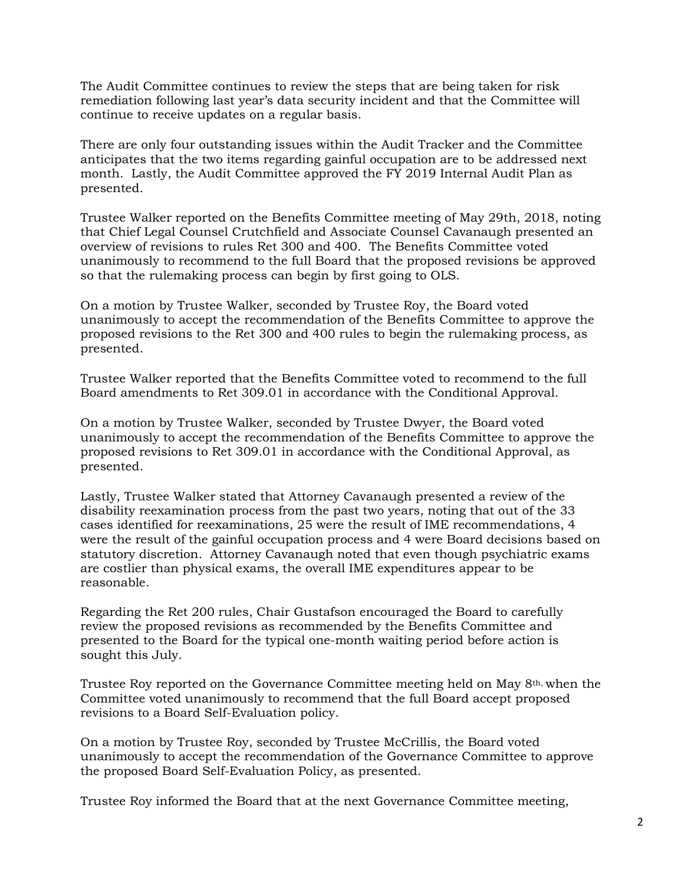The Audit Committee continues to review the steps that are being taken for risk remediation following last year's data security incident and that the Committee will continue to receive updates on a regular basis.

There are only four outstanding issues within the Audit Tracker and the Committee anticipates that the two items regarding gainful occupation are to be addressed next month. Lastly, the Audit Committee approved the FY 2019 Internal Audit Plan as presented.

Trustee Walker reported on the Benefits Committee meeting of May 29th, 2018, noting that Chief Legal Counsel Crutchfield and Associate Counsel Cavanaugh presented an overview of revisions to rules Ret 300 and 400. The Benefits Committee voted unanimously to recommend to the full Board that the proposed revisions be approved so that the rulemaking process can begin by first going to OLS.

On a motion by Trustee Walker, seconded by Trustee Roy, the Board voted unanimously to accept the recommendation of the Benefits Committee to approve the proposed revisions to the Ret 300 and 400 rules to begin the rulemaking process, as presented.

Trustee Walker reported that the Benefits Committee voted to recommend to the full Board amendments to Ret 309.01 in accordance with the Conditional Approval.

On a motion by Trustee Walker, seconded by Trustee Dwyer, the Board voted unanimously to accept the recommendation of the Benefits Committee to approve the proposed revisions to Ret 309.01 in accordance with the Conditional Approval, as presented.

Lastly, Trustee Walker stated that Attorney Cavanaugh presented a review of the disability reexamination process from the past two years, noting that out of the 33 cases identified for reexaminations, 25 were the result of IME recommendations, 4 were the result of the gainful occupation process and 4 were Board decisions based on statutory discretion. Attorney Cavanaugh noted that even though psychiatric exams are costlier than physical exams, the overall IME expenditures appear to be reasonable.

Regarding the Ret 200 rules, Chair Gustafson encouraged the Board to carefully review the proposed revisions as recommended by the Benefits Committee and presented to the Board for the typical one-month waiting period before action is sought this July.

Trustee Roy reported on the Governance Committee meeting held on May 8th, when the Committee voted unanimously to recommend that the full Board accept proposed revisions to a Board Self-Evaluation policy.

On a motion by Trustee Roy, seconded by Trustee McCrillis, the Board voted unanimously to accept the recommendation of the Governance Committee to approve the proposed Board Self-Evaluation Policy, as presented.

Trustee Roy informed the Board that at the next Governance Committee meeting,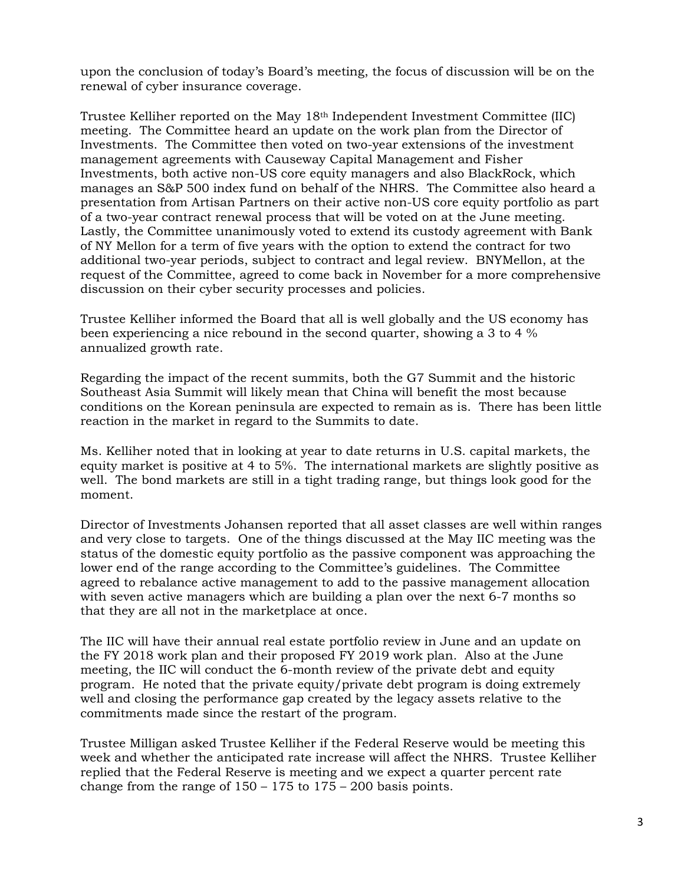upon the conclusion of today's Board's meeting, the focus of discussion will be on the renewal of cyber insurance coverage.

Trustee Kelliher reported on the May 18th Independent Investment Committee (IIC) meeting. The Committee heard an update on the work plan from the Director of Investments. The Committee then voted on two-year extensions of the investment management agreements with Causeway Capital Management and Fisher Investments, both active non-US core equity managers and also BlackRock, which manages an S&P 500 index fund on behalf of the NHRS. The Committee also heard a presentation from Artisan Partners on their active non-US core equity portfolio as part of a two-year contract renewal process that will be voted on at the June meeting. Lastly, the Committee unanimously voted to extend its custody agreement with Bank of NY Mellon for a term of five years with the option to extend the contract for two additional two-year periods, subject to contract and legal review. BNYMellon, at the request of the Committee, agreed to come back in November for a more comprehensive discussion on their cyber security processes and policies.

Trustee Kelliher informed the Board that all is well globally and the US economy has been experiencing a nice rebound in the second quarter, showing a 3 to 4 % annualized growth rate.

Regarding the impact of the recent summits, both the G7 Summit and the historic Southeast Asia Summit will likely mean that China will benefit the most because conditions on the Korean peninsula are expected to remain as is. There has been little reaction in the market in regard to the Summits to date.

Ms. Kelliher noted that in looking at year to date returns in U.S. capital markets, the equity market is positive at 4 to 5%. The international markets are slightly positive as well. The bond markets are still in a tight trading range, but things look good for the moment.

Director of Investments Johansen reported that all asset classes are well within ranges and very close to targets. One of the things discussed at the May IIC meeting was the status of the domestic equity portfolio as the passive component was approaching the lower end of the range according to the Committee's guidelines. The Committee agreed to rebalance active management to add to the passive management allocation with seven active managers which are building a plan over the next 6-7 months so that they are all not in the marketplace at once.

The IIC will have their annual real estate portfolio review in June and an update on the FY 2018 work plan and their proposed FY 2019 work plan. Also at the June meeting, the IIC will conduct the 6-month review of the private debt and equity program. He noted that the private equity/private debt program is doing extremely well and closing the performance gap created by the legacy assets relative to the commitments made since the restart of the program.

Trustee Milligan asked Trustee Kelliher if the Federal Reserve would be meeting this week and whether the anticipated rate increase will affect the NHRS. Trustee Kelliher replied that the Federal Reserve is meeting and we expect a quarter percent rate change from the range of  $150 - 175$  to  $175 - 200$  basis points.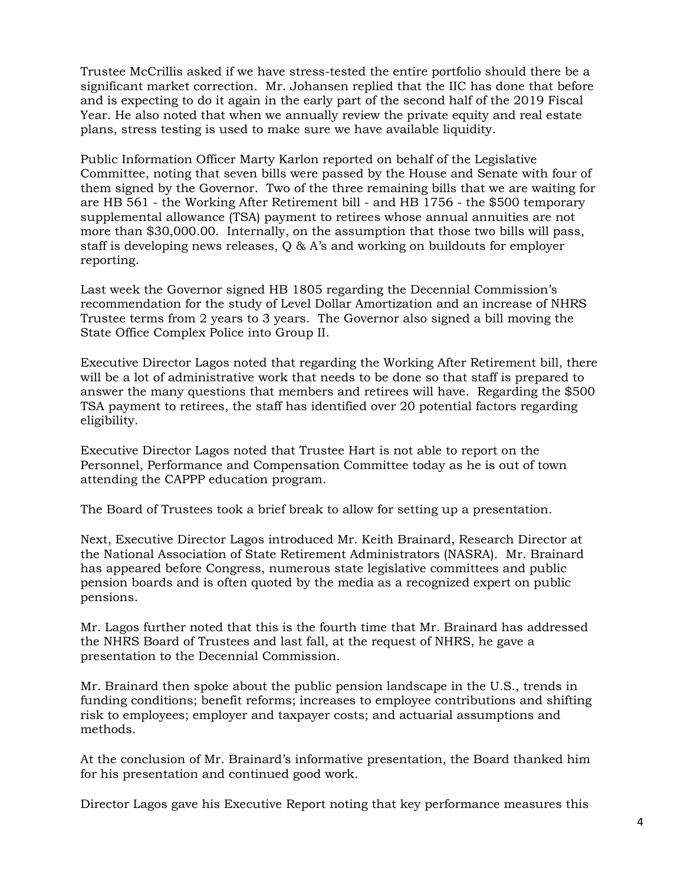Trustee McCrillis asked if we have stress-tested the entire portfolio should there be a significant market correction. Mr. Johansen replied that the IIC has done that before and is expecting to do it again in the early part of the second half of the 2019 Fiscal Year. He also noted that when we annually review the private equity and real estate plans, stress testing is used to make sure we have available liquidity.

Public Information Officer Marty Karlon reported on behalf of the Legislative Committee, noting that seven bills were passed by the House and Senate with four of them signed by the Governor. Two of the three remaining bills that we are waiting for are HB 561 - the Working After Retirement bill - and HB 1756 - the \$500 temporary supplemental allowance (TSA) payment to retirees whose annual annuities are not more than \$30,000.00. Internally, on the assumption that those two bills will pass, staff is developing news releases, Q & A's and working on buildouts for employer reporting.

Last week the Governor signed HB 1805 regarding the Decennial Commission's recommendation for the study of Level Dollar Amortization and an increase of NHRS Trustee terms from 2 years to 3 years. The Governor also signed a bill moving the State Office Complex Police into Group II.

Executive Director Lagos noted that regarding the Working After Retirement bill, there will be a lot of administrative work that needs to be done so that staff is prepared to answer the many questions that members and retirees will have. Regarding the \$500 TSA payment to retirees, the staff has identified over 20 potential factors regarding eligibility.

Executive Director Lagos noted that Trustee Hart is not able to report on the Personnel, Performance and Compensation Committee today as he is out of town attending the CAPPP education program.

The Board of Trustees took a brief break to allow for setting up a presentation.

Next, Executive Director Lagos introduced Mr. Keith Brainard, Research Director at the National Association of State Retirement Administrators (NASRA). Mr. Brainard has appeared before Congress, numerous state legislative committees and public pension boards and is often quoted by the media as a recognized expert on public pensions.

Mr. Lagos further noted that this is the fourth time that Mr. Brainard has addressed the NHRS Board of Trustees and last fall, at the request of NHRS, he gave a presentation to the Decennial Commission.

Mr. Brainard then spoke about the public pension landscape in the U.S., trends in funding conditions; benefit reforms; increases to employee contributions and shifting risk to employees; employer and taxpayer costs; and actuarial assumptions and methods.

At the conclusion of Mr. Brainard's informative presentation, the Board thanked him for his presentation and continued good work.

Director Lagos gave his Executive Report noting that key performance measures this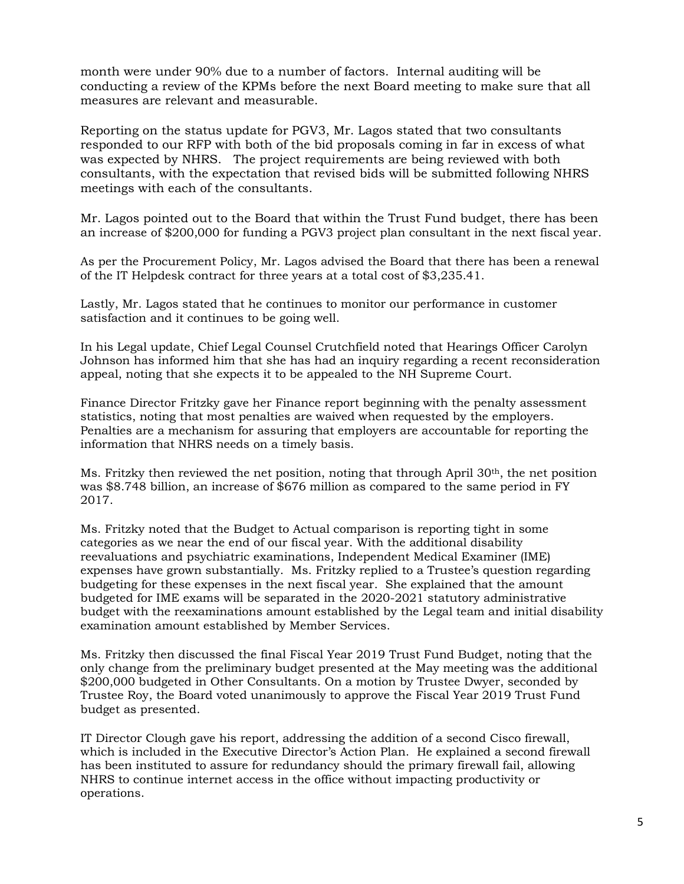month were under 90% due to a number of factors. Internal auditing will be conducting a review of the KPMs before the next Board meeting to make sure that all measures are relevant and measurable.

Reporting on the status update for PGV3, Mr. Lagos stated that two consultants responded to our RFP with both of the bid proposals coming in far in excess of what was expected by NHRS. The project requirements are being reviewed with both consultants, with the expectation that revised bids will be submitted following NHRS meetings with each of the consultants.

Mr. Lagos pointed out to the Board that within the Trust Fund budget, there has been an increase of \$200,000 for funding a PGV3 project plan consultant in the next fiscal year.

As per the Procurement Policy, Mr. Lagos advised the Board that there has been a renewal of the IT Helpdesk contract for three years at a total cost of \$3,235.41.

Lastly, Mr. Lagos stated that he continues to monitor our performance in customer satisfaction and it continues to be going well.

In his Legal update, Chief Legal Counsel Crutchfield noted that Hearings Officer Carolyn Johnson has informed him that she has had an inquiry regarding a recent reconsideration appeal, noting that she expects it to be appealed to the NH Supreme Court.

Finance Director Fritzky gave her Finance report beginning with the penalty assessment statistics, noting that most penalties are waived when requested by the employers. Penalties are a mechanism for assuring that employers are accountable for reporting the information that NHRS needs on a timely basis.

Ms. Fritzky then reviewed the net position, noting that through April 30th, the net position was \$8.748 billion, an increase of \$676 million as compared to the same period in FY 2017.

Ms. Fritzky noted that the Budget to Actual comparison is reporting tight in some categories as we near the end of our fiscal year. With the additional disability reevaluations and psychiatric examinations, Independent Medical Examiner (IME) expenses have grown substantially. Ms. Fritzky replied to a Trustee's question regarding budgeting for these expenses in the next fiscal year. She explained that the amount budgeted for IME exams will be separated in the 2020-2021 statutory administrative budget with the reexaminations amount established by the Legal team and initial disability examination amount established by Member Services.

Ms. Fritzky then discussed the final Fiscal Year 2019 Trust Fund Budget, noting that the only change from the preliminary budget presented at the May meeting was the additional \$200,000 budgeted in Other Consultants. On a motion by Trustee Dwyer, seconded by Trustee Roy, the Board voted unanimously to approve the Fiscal Year 2019 Trust Fund budget as presented.

IT Director Clough gave his report, addressing the addition of a second Cisco firewall, which is included in the Executive Director's Action Plan. He explained a second firewall has been instituted to assure for redundancy should the primary firewall fail, allowing NHRS to continue internet access in the office without impacting productivity or operations.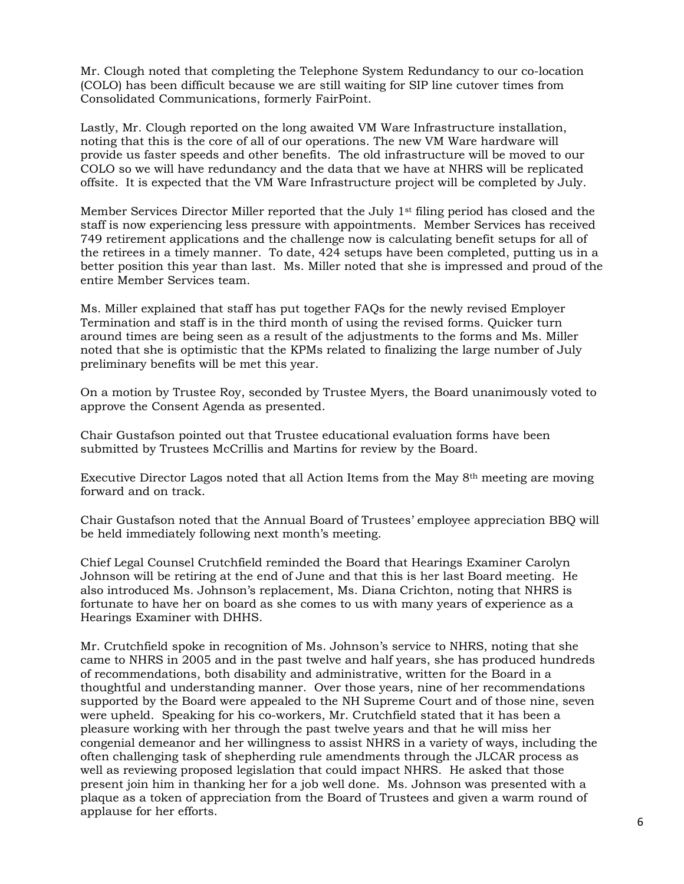Mr. Clough noted that completing the Telephone System Redundancy to our co-location (COLO) has been difficult because we are still waiting for SIP line cutover times from Consolidated Communications, formerly FairPoint.

Lastly, Mr. Clough reported on the long awaited VM Ware Infrastructure installation, noting that this is the core of all of our operations. The new VM Ware hardware will provide us faster speeds and other benefits. The old infrastructure will be moved to our COLO so we will have redundancy and the data that we have at NHRS will be replicated offsite. It is expected that the VM Ware Infrastructure project will be completed by July.

Member Services Director Miller reported that the July  $1<sup>st</sup>$  filing period has closed and the staff is now experiencing less pressure with appointments. Member Services has received 749 retirement applications and the challenge now is calculating benefit setups for all of the retirees in a timely manner. To date, 424 setups have been completed, putting us in a better position this year than last. Ms. Miller noted that she is impressed and proud of the entire Member Services team.

Ms. Miller explained that staff has put together FAQs for the newly revised Employer Termination and staff is in the third month of using the revised forms. Quicker turn around times are being seen as a result of the adjustments to the forms and Ms. Miller noted that she is optimistic that the KPMs related to finalizing the large number of July preliminary benefits will be met this year.

On a motion by Trustee Roy, seconded by Trustee Myers, the Board unanimously voted to approve the Consent Agenda as presented.

Chair Gustafson pointed out that Trustee educational evaluation forms have been submitted by Trustees McCrillis and Martins for review by the Board.

Executive Director Lagos noted that all Action Items from the May 8th meeting are moving forward and on track.

Chair Gustafson noted that the Annual Board of Trustees' employee appreciation BBQ will be held immediately following next month's meeting.

Chief Legal Counsel Crutchfield reminded the Board that Hearings Examiner Carolyn Johnson will be retiring at the end of June and that this is her last Board meeting. He also introduced Ms. Johnson's replacement, Ms. Diana Crichton, noting that NHRS is fortunate to have her on board as she comes to us with many years of experience as a Hearings Examiner with DHHS.

Mr. Crutchfield spoke in recognition of Ms. Johnson's service to NHRS, noting that she came to NHRS in 2005 and in the past twelve and half years, she has produced hundreds of recommendations, both disability and administrative, written for the Board in a thoughtful and understanding manner. Over those years, nine of her recommendations supported by the Board were appealed to the NH Supreme Court and of those nine, seven were upheld. Speaking for his co-workers, Mr. Crutchfield stated that it has been a pleasure working with her through the past twelve years and that he will miss her congenial demeanor and her willingness to assist NHRS in a variety of ways, including the often challenging task of shepherding rule amendments through the JLCAR process as well as reviewing proposed legislation that could impact NHRS. He asked that those present join him in thanking her for a job well done. Ms. Johnson was presented with a plaque as a token of appreciation from the Board of Trustees and given a warm round of applause for her efforts.